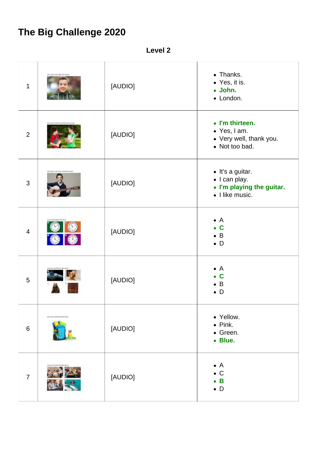## **The Big Challenge 2020**

**Level 2**

| 1              | This is below closted, What you can    | [AUDIO] | • Thanks.<br>• Yes, it is.<br>· John.<br>• London.                                |
|----------------|----------------------------------------|---------|-----------------------------------------------------------------------------------|
| $\overline{2}$ |                                        | [AUDIO] | • I'm thirteen.<br>• Yes, I am.<br>• Very well, thank you.<br>• Not too bad.      |
| $\mathfrak{S}$ | for a degree close model and financial | [AUDIO] | · It's a guitar.<br>• I can play.<br>• I'm playing the guitar.<br>• I like music. |
| $\overline{4}$ |                                        | [AUDIO] | $\bullet$ A<br>$\bullet$ C<br>$\bullet$ B<br>$\bullet$ D                          |
| $5\phantom{.}$ |                                        | [AUDIO] | $\bullet$ A<br>$\bullet$ C<br>$\bullet$ B<br>$\bullet$ D                          |
| $6\,$          | Look, Internatoring the right prove    | [AUDIO] | • Yellow.<br>$\bullet$ Pink.<br>• Green.<br>• Blue.                               |
| $\overline{7}$ |                                        | [AUDIO] | $\bullet$ A<br>$\bullet$ C<br>$\bullet$ B<br>$\bullet$ D                          |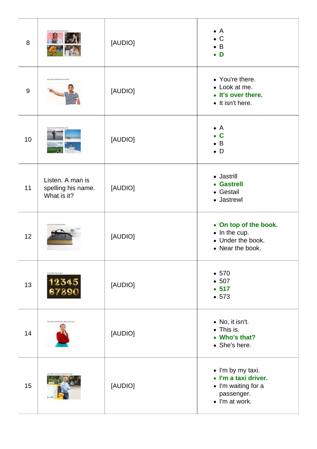| 8  |                                                       | [AUDIO] | $\bullet$ A<br>$\bullet$ C<br>$\bullet$ B<br>$\bullet$ D                                         |
|----|-------------------------------------------------------|---------|--------------------------------------------------------------------------------------------------|
| 9  |                                                       | [AUDIO] | • You're there.<br>• Look at me.<br>• It's over there.<br>• It isn't here.                       |
| 10 |                                                       | [AUDIO] | $\bullet$ A<br>$\bullet$ C<br>$\bullet$ B<br>$\bullet$ D                                         |
| 11 | Listen. A man is<br>spelling his name.<br>What is it? | [AUDIO] | • Jastrill<br>• Gastrell<br>• Gestail<br>• Jastrewl                                              |
| 12 | <b>AUTOR RAY</b>                                      | [AUDIO] | • On top of the book.<br>$\bullet$ In the cup.<br>• Under the book.<br>• Near the book.          |
| 13 | <b>Editor Mary Belleviller</b>                        | [AUDIO] | • 570<br>• 507<br>• 517<br>• 573                                                                 |
| 14 | Florida April, 5 pcls and house, What can shorteen!   | [AUDIO] | • No, it isn't.<br>• This is.<br>• Who's that?<br>• She's here.                                  |
| 15 | This is Murdi Louis, Fortel and                       | [AUDIO] | • I'm by my taxi.<br>• I'm a taxi driver.<br>• I'm waiting for a<br>passenger.<br>• I'm at work. |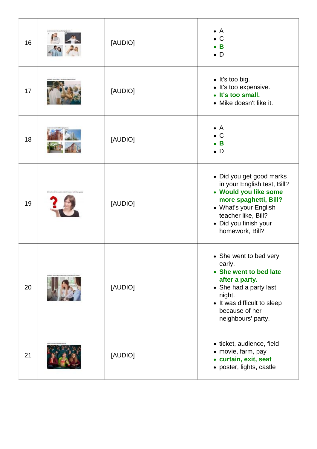| 16 | [AUDIO] | $\bullet$ A<br>$\bullet$ C<br>$\bullet$ B<br>$\bullet$ D                                                                                                                                              |
|----|---------|-------------------------------------------------------------------------------------------------------------------------------------------------------------------------------------------------------|
| 17 | [AUDIO] | • It's too big.<br>· It's too expensive.<br>• It's too small.<br>• Mike doesn't like it.                                                                                                              |
| 18 | [AUDIO] | $\bullet$ A<br>$\bullet$ C<br>$\bullet$ B<br>$\bullet$ D                                                                                                                                              |
| 19 | [AUDIO] | • Did you get good marks<br>in your English test, Bill?<br>• Would you like some<br>more spaghetti, Bill?<br>• What's your English<br>teacher like, Bill?<br>• Did you finish your<br>homework, Bill? |
| 20 | [AUDIO] | • She went to bed very<br>early.<br>• She went to bed late<br>after a party.<br>• She had a party last<br>night.<br>• It was difficult to sleep<br>because of her<br>neighbours' party.               |
| 21 | [AUDIO] | • ticket, audience, field<br>• movie, farm, pay<br>• curtain, exit, seat<br>• poster, lights, castle                                                                                                  |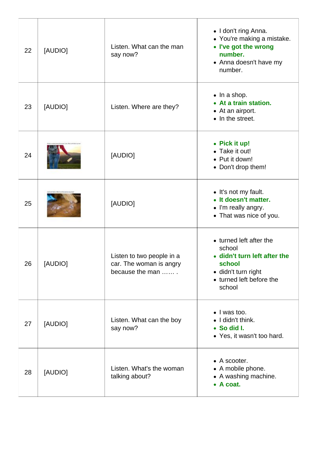| 22 | [AUDIO] | Listen. What can the man<br>say now?                                    | • I don't ring Anna.<br>• You're making a mistake.<br>• I've got the wrong<br>number.<br>• Anna doesn't have my<br>number.               |
|----|---------|-------------------------------------------------------------------------|------------------------------------------------------------------------------------------------------------------------------------------|
| 23 | [AUDIO] | Listen. Where are they?                                                 | $\bullet$ In a shop.<br>• At a train station.<br>• At an airport.<br>• In the street.                                                    |
| 24 |         | [AUDIO]                                                                 | • Pick it up!<br>• Take it out!<br>• Put it down!<br>• Don't drop them!                                                                  |
| 25 |         | [AUDIO]                                                                 | • It's not my fault.<br>• It doesn't matter.<br>• I'm really angry.<br>• That was nice of you.                                           |
| 26 | [AUDIO] | Listen to two people in a<br>car. The woman is angry<br>because the man | • turned left after the<br>school<br>• didn't turn left after the<br>school<br>· didn't turn right<br>• turned left before the<br>school |
| 27 | [AUDIO] | Listen. What can the boy<br>say now?                                    | • I was too.<br>• I didn't think.<br>• So did I.<br>• Yes, it wasn't too hard.                                                           |
| 28 | [AUDIO] | Listen. What's the woman<br>talking about?                              | • A scooter.<br>• A mobile phone.<br>• A washing machine.<br>• A coat.                                                                   |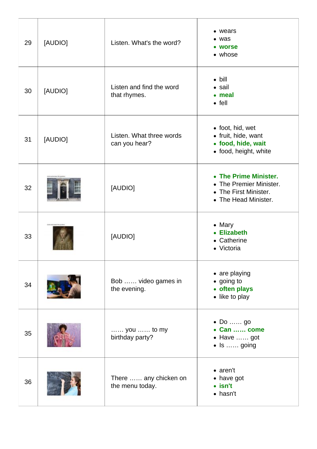| 29 | [AUDIO] | Listen. What's the word?                       | • wears<br>$\bullet$ was<br>• worse<br>• whose                                                    |
|----|---------|------------------------------------------------|---------------------------------------------------------------------------------------------------|
| 30 | [AUDIO] | Listen and find the word<br>that rhymes.       | $\bullet$ bill<br>$\bullet$ sail<br>• meal<br>$\bullet$ fell                                      |
| 31 | [AUDIO] | Listen. What three words<br>can you hear?      | • foot, hid, wet<br>• fruit, hide, want<br>• food, hide, wait<br>• food, height, white            |
| 32 |         | [AUDIO]                                        | • The Prime Minister.<br>• The Premier Minister.<br>• The First Minister.<br>• The Head Minister. |
| 33 |         | [AUDIO]                                        | $\bullet$ Mary<br><b>Elizabeth</b><br>• Catherine<br>• Victoria                                   |
| 34 |         | Bob  video games in<br>the evening.            | • are playing<br>• going to<br>• often plays<br>• like to play                                    |
| 35 |         | $\ldots$ you $\ldots$ to my<br>birthday party? | $\bullet$ Do go<br>• Can  come<br>• Have  got<br>$\bullet$ Is  going                              |
| 36 |         | There  any chicken on<br>the menu today.       | $\bullet$ aren't<br>• have got<br>$\bullet$ isn't<br>• hasn't                                     |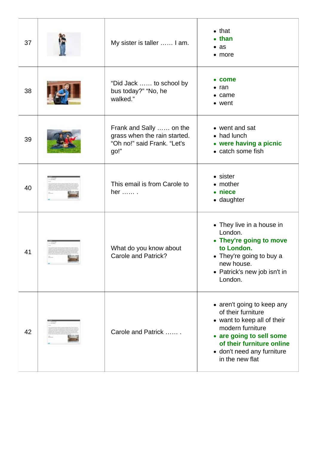| 37 | My sister is taller  I am.                                                                     | $\bullet$ that<br>$\bullet$ than<br>$\bullet$ as<br>$\bullet$ more                                                                                                                                            |
|----|------------------------------------------------------------------------------------------------|---------------------------------------------------------------------------------------------------------------------------------------------------------------------------------------------------------------|
| 38 | "Did Jack  to school by<br>bus today?" "No, he<br>walked."                                     | $\bullet$ come<br>$\bullet$ ran<br>$\bullet$ came<br>• went                                                                                                                                                   |
| 39 | Frank and Sally  on the<br>grass when the rain started.<br>"Oh no!" said Frank. "Let's<br>go!" | • went and sat<br>• had lunch<br>• were having a picnic<br>• catch some fish                                                                                                                                  |
| 40 | This email is from Carole to<br>her  .                                                         | • sister<br>• mother<br>• niece<br>• daughter                                                                                                                                                                 |
| 41 | What do you know about<br>Carole and Patrick?                                                  | • They live in a house in<br>London.<br>• They're going to move<br>to London.<br>• They're going to buy a<br>new house.<br>• Patrick's new job isn't in<br>London.                                            |
| 42 | Carole and Patrick                                                                             | • aren't going to keep any<br>of their furniture<br>• want to keep all of their<br>modern furniture<br>• are going to sell some<br>of their furniture online<br>• don't need any furniture<br>in the new flat |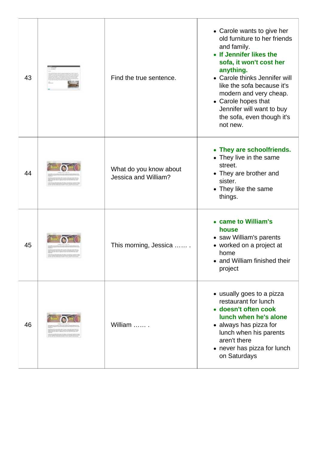| 43 | Find the true sentence.                        | • Carole wants to give her<br>old furniture to her friends<br>and family.<br>• If Jennifer likes the<br>sofa, it won't cost her<br>anything.<br>• Carole thinks Jennifer will<br>like the sofa because it's<br>modern and very cheap.<br>• Carole hopes that<br>Jennifer will want to buy<br>the sofa, even though it's<br>not new. |
|----|------------------------------------------------|-------------------------------------------------------------------------------------------------------------------------------------------------------------------------------------------------------------------------------------------------------------------------------------------------------------------------------------|
| 44 | What do you know about<br>Jessica and William? | • They are schoolfriends.<br>• They live in the same<br>street.<br>• They are brother and<br>sister.<br>• They like the same<br>things.                                                                                                                                                                                             |
| 45 | This morning, Jessica                          | • came to William's<br>house<br>• saw William's parents<br>• worked on a project at<br>home<br>and William finished their<br>project                                                                                                                                                                                                |
| 46 | William                                        | • usually goes to a pizza<br>restaurant for lunch<br>· doesn't often cook<br>lunch when he's alone<br>• always has pizza for<br>lunch when his parents<br>aren't there<br>• never has pizza for lunch<br>on Saturdays                                                                                                               |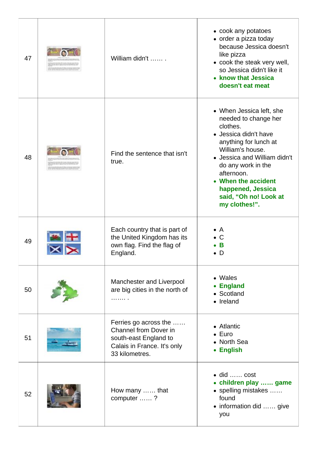| 47 | William didn't                                                                                                           | • cook any potatoes<br>• order a pizza today<br>because Jessica doesn't<br>like pizza<br>• cook the steak very well,<br>so Jessica didn't like it<br>• know that Jessica<br>doesn't eat meat                                                                                                 |
|----|--------------------------------------------------------------------------------------------------------------------------|----------------------------------------------------------------------------------------------------------------------------------------------------------------------------------------------------------------------------------------------------------------------------------------------|
| 48 | Find the sentence that isn't<br>true.                                                                                    | • When Jessica left, she<br>needed to change her<br>clothes.<br>• Jessica didn't have<br>anything for lunch at<br>William's house.<br>• Jessica and William didn't<br>do any work in the<br>afternoon.<br>• When the accident<br>happened, Jessica<br>said, "Oh no! Look at<br>my clothes!". |
| 49 | Each country that is part of<br>the United Kingdom has its<br>own flag. Find the flag of<br>England.                     | $\bullet$ A<br>۰C<br>В<br>$\bullet$ D                                                                                                                                                                                                                                                        |
| 50 | Manchester and Liverpool<br>are big cities in the north of<br>.                                                          | • Wales<br>• England<br>• Scotland<br>• Ireland                                                                                                                                                                                                                                              |
| 51 | Ferries go across the<br>Channel from Dover in<br>south-east England to<br>Calais in France. It's only<br>33 kilometres. | • Atlantic<br>$\bullet$ Euro<br>• North Sea<br>• English                                                                                                                                                                                                                                     |
| 52 | How many  that<br>computer ?                                                                                             | $\bullet$ did  cost<br>• children play  game<br>• spelling mistakes<br>found<br>• information did  give<br>you                                                                                                                                                                               |